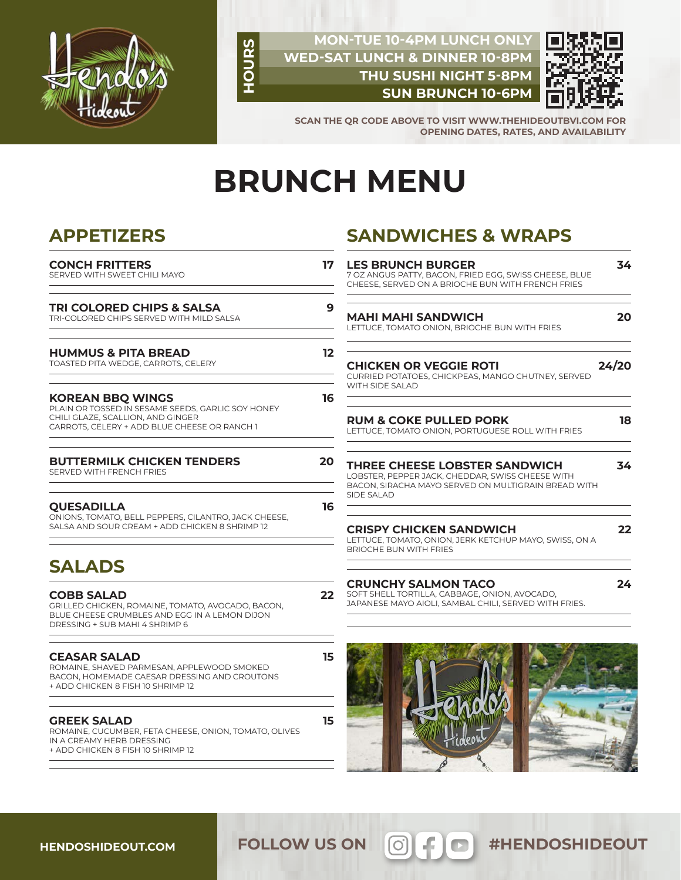

### **MON-TUE 10-4PM LUNCH ONLY WED-SAT LUNCH & DINNER 10-8PM THU SUSHI NIGHT 5-8PM SUN BRUNCH 10-6PM**



**SCAN THE QR CODE ABOVE TO VISIT WWW.THEHIDEOUTBVI.COM FOR OPENING DATES, RATES, AND AVAILABILITY**

# **BRUNCH MENU**

**HOURS**

## **APPETIZERS**

| <b>CONCH FRITTERS</b><br>SERVED WITH SWEET CHILI MAYO                                                                                                             | 17                      |
|-------------------------------------------------------------------------------------------------------------------------------------------------------------------|-------------------------|
| TRI COLORED CHIPS & SALSA<br>TRI-COLORED CHIPS SERVED WITH MILD SALSA                                                                                             | 9                       |
| <b>HUMMUS &amp; PITA BREAD</b><br>TOASTED PITA WEDGE, CARROTS, CELERY                                                                                             | $12 \overline{ }$<br>Сŀ |
| <b>KOREAN BBO WINGS</b><br>PLAIN OR TOSSED IN SESAME SEEDS, GARLIC SOY HONEY<br>CHILI GLAZE, SCALLION, AND GINGER<br>CARROTS, CELERY + ADD BLUE CHEESE OR RANCH 1 | 16                      |
| <b>BUTTERMILK CHICKEN TENDERS</b><br>SERVED WITH FRENCH FRIES                                                                                                     | 20                      |
| <b>OUESADILLA</b><br>ONIONS, TOMATO, BELL PEPPERS, CILANTRO, JACK CHEESE,<br>SALSA AND SOUR CREAM + ADD CHICKEN 8 SHRIMP 12                                       | 16<br>CF                |
| <b>SALADS</b>                                                                                                                                                     |                         |
| <b>COBB SALAD</b><br>GRILLED CHICKEN, ROMAINE, TOMATO, AVOCADO, BACON,<br>BLUE CHEESE CRUMBLES AND EGG IN A LEMON DIJON<br>DRESSING + SUB MAHI 4 SHRIMP 6         | 22                      |
| <b>CEASAR SALAD</b><br>ROMAINE, SHAVED PARMESAN, APPLEWOOD SMOKED<br>BACON. HOMEMADE CAESAR DRESSING AND CROUTONS<br>+ ADD CHICKEN 8 FISH 10 SHRIMP 12            | 15                      |
| <b>GREEK SALAD</b><br>ROMAINE, CUCUMBER, FETA CHEESE, ONION, TOMATO, OLIVES<br>IN A CREAMY HERB DRESSING<br>+ ADD CHICKEN 8 FISH 10 SHRIMP 12                     | 15                      |

# **SANDWICHES & WRAPS**

| <b>LES BRUNCH BURGER</b><br>7 OZ ANGUS PATTY, BACON, FRIED EGG, SWISS CHEESE, BLUE<br>CHEESE. SERVED ON A BRIOCHE BUN WITH FRENCH FRIES                       | 34    |
|---------------------------------------------------------------------------------------------------------------------------------------------------------------|-------|
| <b>MAHI MAHI SANDWICH</b><br>LETTUCE, TOMATO ONION, BRIOCHE BUN WITH FRIES                                                                                    | 20    |
| <b>CHICKEN OR VEGGIE ROTI</b><br>CURRIED POTATOES, CHICKPEAS, MANGO CHUTNEY, SERVED<br>WITH SIDE SALAD                                                        | 24/20 |
| <b>RUM &amp; COKE PULLED PORK</b><br>LETTUCE. TOMATO ONION, PORTUGUESE ROLL WITH FRIES                                                                        | 18    |
| <b>THREE CHEESE LOBSTER SANDWICH</b><br>LOBSTER, PEPPER JACK, CHEDDAR, SWISS CHEESE WITH<br>BACON, SIRACHA MAYO SERVED ON MULTIGRAIN BREAD WITH<br>SIDE SALAD | 34    |
| <b>CRISPY CHICKEN SANDWICH</b><br>LETTUCE, TOMATO, ONION, JERK KETCHUP MAYO, SWISS, ON A<br>BRIOCHE BUN WITH FRIES                                            | 22    |
| <b>CRUNCHY SALMON TACO</b><br>SOFT SHELL TORTILLA, CABBAGE, ONION, AVOCADO,<br>JAPANESE MAYO AIOLI, SAMBAL CHILI, SERVED WITH FRIES.                          | 24    |



**HENDOSHIDEOUT.COM**

FOLLOW US ON **6 FOLLOW** US ON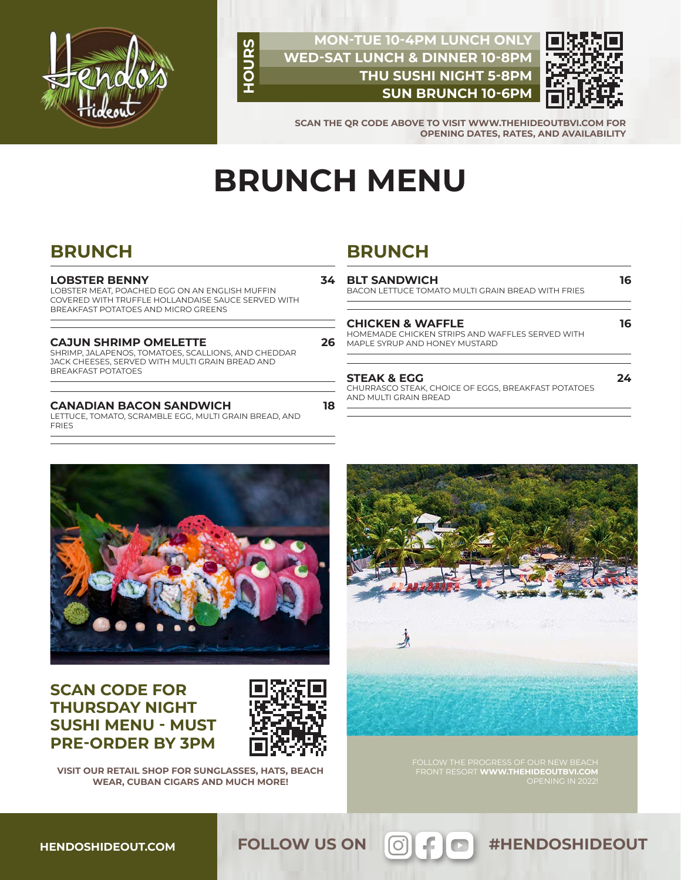

### **MON-TUE 10-4PM LUNCH ONLY WED-SAT LUNCH & DINNER 10-8PM THU SUSHI NIGHT 5-8PM SUN BRUNCH 10-6PM**



**24**

**SCAN THE QR CODE ABOVE TO VISIT WWW.THEHIDEOUTBVI.COM FOR OPENING DATES, RATES, AND AVAILABILITY**

# **BRUNCH MENU**

**18**

**HOURS**

# **BRUNCH**

#### **LOBSTER BENNY**

LOBSTER MEAT, POACHED EGG ON AN ENGLISH MUFFIN COVERED WITH TRUFFLE HOLLANDAISE SAUCE SERVED WITH BREAKFAST POTATOES AND MICRO GREENS

| <b>CAJUN SHRIMP OMELETTE</b>                                                                            |  |
|---------------------------------------------------------------------------------------------------------|--|
| $\alpha$ , and a set of the set of the set of $\alpha$ , and $\alpha$ is the set of the set of $\alpha$ |  |

SHRIMP, JALAPENOS, TOMATOES, SCALLIONS, AND CHEDDAR JACK CHEESES, SERVED WITH MULTI GRAIN BREAD AND BREAKFAST POTATOES

#### **CANADIAN BACON SANDWICH**

LETTUCE, TOMATO, SCRAMBLE EGG, MULTI GRAIN BREAD, AND FRIES

# **BRUNCH**

| 34<br>26 | <b>BLT SANDWICH</b><br>BACON LETTUCE TOMATO MULTI GRAIN BREAD WITH FRIES                                        |    |
|----------|-----------------------------------------------------------------------------------------------------------------|----|
|          | <b>CHICKEN &amp; WAFFLE</b><br>HOMEMADE CHICKEN STRIPS AND WAFFLES SERVED WITH<br>MAPLE SYRUP AND HONEY MUSTARD | 16 |
|          |                                                                                                                 |    |

#### **STEAK & EGG**

CHURRASCO STEAK, CHOICE OF EGGS, BREAKFAST POTATOES AND MULTI GRAIN BREAD



## **SCAN CODE FOR THURSDAY NIGHT SUSHI MENU - MUST PRE-ORDER BY 3PM**



**VISIT OUR RETAIL SHOP FOR SUNGLASSES, HATS, BEACH WEAR, CUBAN CIGARS AND MUCH MORE!**



FRONT RESORT **WWW.THEHIDEOUTBVI.COM**  OPENING IN 2022!

FOLLOW US ON **6 FOLLOW** US ON

**HENDOSHIDEOUT.COM**